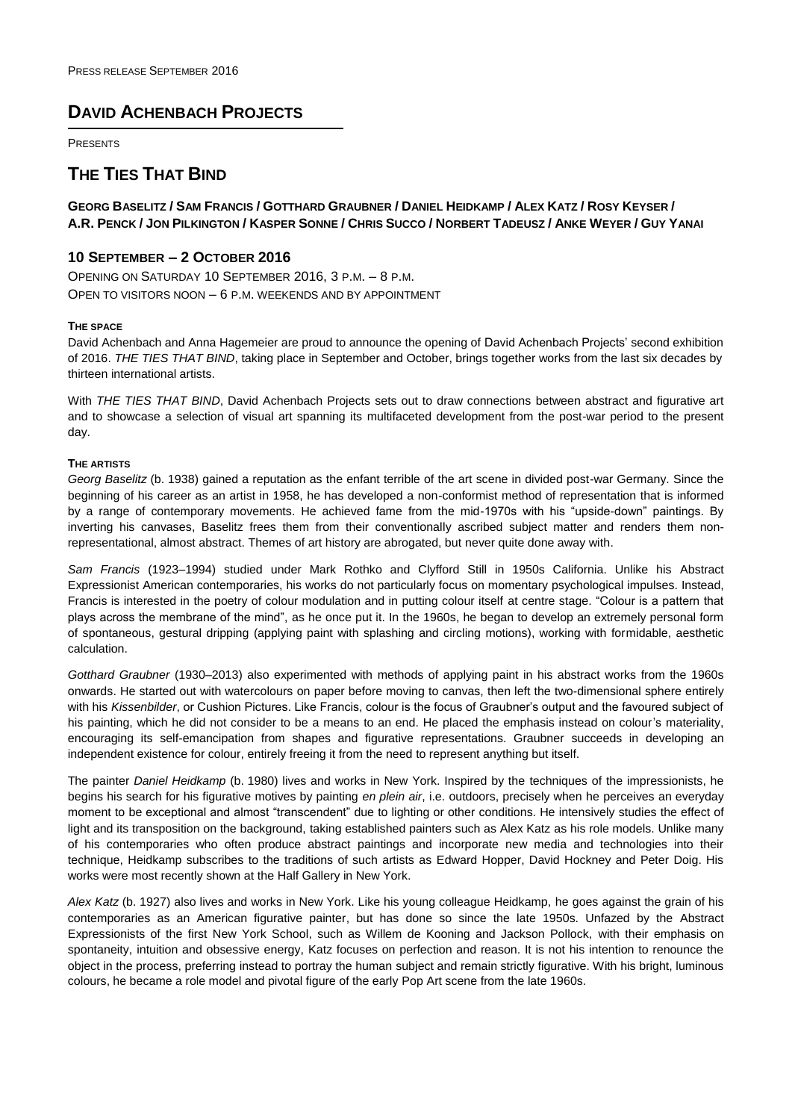# **DAVID ACHENBACH PROJECTS**

PRESENTS

# **THE TIES THAT BIND**

**GEORG BASELITZ / SAM FRANCIS / GOTTHARD GRAUBNER / DANIEL HEIDKAMP / ALEX KATZ / ROSY KEYSER /** A.R. PENCK / JON PILKINGTON / KASPER SONNE / CHRIS SUCCO / NORBERT TADEUSZ / ANKE WEYER / GUY YANAI

## **10 SEPTEMBER – 2 OCTOBER 2016**

OPENING ON SATURDAY 10 SEPTEMBER 2016, 3 P.M. – 8 P.M. OPEN TO VISITORS NOON – 6 P.M. WEEKENDS AND BY APPOINTMENT

### **THE SPACE**

David Achenbach and Anna Hagemeier are proud to announce the opening of David Achenbach Projects' second exhibition of 2016. *THE TIES THAT BIND*, taking place in September and October, brings together works from the last six decades by thirteen international artists.

With *THE TIES THAT BIND*, David Achenbach Projects sets out to draw connections between abstract and figurative art and to showcase a selection of visual art spanning its multifaceted development from the post-war period to the present day.

### **THE ARTISTS**

*Georg Baselitz* (b. 1938) gained a reputation as the enfant terrible of the art scene in divided post-war Germany. Since the beginning of his career as an artist in 1958, he has developed a non-conformist method of representation that is informed by a range of contemporary movements. He achieved fame from the mid-1970s with his "upside-down" paintings. By inverting his canvases, Baselitz frees them from their conventionally ascribed subject matter and renders them nonrepresentational, almost abstract. Themes of art history are abrogated, but never quite done away with.

*Sam Francis* (1923–1994) studied under Mark Rothko and Clyfford Still in 1950s California. Unlike his Abstract Expressionist American contemporaries, his works do not particularly focus on momentary psychological impulses. Instead, Francis is interested in the poetry of colour modulation and in putting colour itself at centre stage. "Colour is a pattern that plays across the membrane of the mind", as he once put it. In the 1960s, he began to develop an extremely personal form of spontaneous, gestural dripping (applying paint with splashing and circling motions), working with formidable, aesthetic calculation.

*Gotthard Graubner* (1930–2013) also experimented with methods of applying paint in his abstract works from the 1960s onwards. He started out with watercolours on paper before moving to canvas, then left the two-dimensional sphere entirely with his *Kissenbilder*, or Cushion Pictures. Like Francis, colour is the focus of Graubner's output and the favoured subject of his painting, which he did not consider to be a means to an end. He placed the emphasis instead on colour's materiality, encouraging its self-emancipation from shapes and figurative representations. Graubner succeeds in developing an independent existence for colour, entirely freeing it from the need to represent anything but itself.

The painter *Daniel Heidkamp* (b. 1980) lives and works in New York. Inspired by the techniques of the impressionists, he begins his search for his figurative motives by painting *en plein air*, i.e. outdoors, precisely when he perceives an everyday moment to be exceptional and almost "transcendent" due to lighting or other conditions. He intensively studies the effect of light and its transposition on the background, taking established painters such as Alex Katz as his role models. Unlike many of his contemporaries who often produce abstract paintings and incorporate new media and technologies into their technique, Heidkamp subscribes to the traditions of such artists as Edward Hopper, David Hockney and Peter Doig. His works were most recently shown at the Half Gallery in New York.

*Alex Katz* (b. 1927) also lives and works in New York. Like his young colleague Heidkamp, he goes against the grain of his contemporaries as an American figurative painter, but has done so since the late 1950s. Unfazed by the Abstract Expressionists of the first New York School, such as Willem de Kooning and Jackson Pollock, with their emphasis on spontaneity, intuition and obsessive energy, Katz focuses on perfection and reason. It is not his intention to renounce the object in the process, preferring instead to portray the human subject and remain strictly figurative. With his bright, luminous colours, he became a role model and pivotal figure of the early Pop Art scene from the late 1960s.